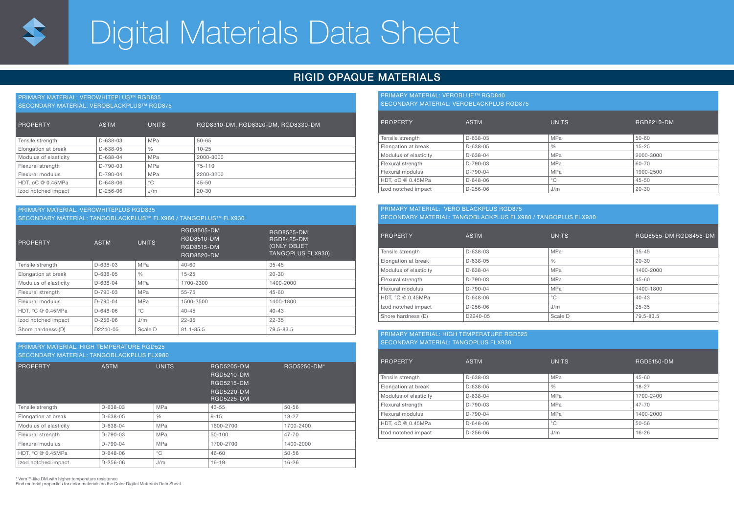

# Digital Materials Data Sheet

### RIGID OPAQUE MATERIALS

| <b>PRIMARY MATERIAL: VEROWHITEPLUS™ RGD835</b><br>SECONDARY MATERIAL: VEROBLACKPLUS™ RGD875 |                |               |                                    |  |  |
|---------------------------------------------------------------------------------------------|----------------|---------------|------------------------------------|--|--|
| <b>PROPERTY</b>                                                                             | <b>ASTM</b>    | <b>UNITS</b>  | RGD8310-DM, RGD8320-DM, RGD8330-DM |  |  |
| Tensile strength                                                                            | $D - 638 - 03$ | <b>MPa</b>    | $50 - 65$                          |  |  |
| Elongation at break                                                                         | $D - 638 - 05$ | $\frac{0}{0}$ | $10 - 25$                          |  |  |
| Modulus of elasticity                                                                       | $D - 638 - 04$ | <b>MPa</b>    | 2000-3000                          |  |  |
| Flexural strength                                                                           | $D-790-03$     | <b>MPa</b>    | 75-110                             |  |  |
| Flexural modulus                                                                            | $D-790-04$     | <b>MPa</b>    | 2200-3200                          |  |  |
| HDT, oC @ 0.45MPa                                                                           | $D - 648 - 06$ | $^{\circ}$ C  | $45 - 50$                          |  |  |
| Izod notched impact                                                                         | $D-256-06$     | J/m           | $20 - 30$                          |  |  |

#### PRIMARY MATERIAL: VEROWHITEPLUS RGD835 SECONDARY MATERIAL: TANGOBLACKPLUS™ FLX980 / TANGOPLUS™ FLX930

| <b>PROPERTY</b>       | <b>ASTM</b>    | <b>UNITS</b>  | RGD8505-DM<br>RGD8510-DM<br>RGD8515-DM<br>RGD8520-DM | RGD8525-DM<br><b>RGD8425-DM</b><br><b>(ONLY OBJET)</b><br><b>TANGOPLUS FLX930)</b> |
|-----------------------|----------------|---------------|------------------------------------------------------|------------------------------------------------------------------------------------|
| Tensile strength      | $D - 638 - 03$ | <b>MPa</b>    | $40 - 60$                                            | $35 - 45$                                                                          |
| Elongation at break   | $D-638-05$     | $\frac{0}{0}$ | $15 - 25$                                            | $20 - 30$                                                                          |
| Modulus of elasticity | $D-638-04$     | <b>MPa</b>    | 1700-2300                                            | 1400-2000                                                                          |
| Flexural strength     | $D-790-03$     | <b>MPa</b>    | $55 - 75$                                            | 45-60                                                                              |
| Flexural modulus      | $D-790-04$     | <b>MPa</b>    | 1500-2500                                            | 1400-1800                                                                          |
| HDT, °C @ 0.45MPa     | $D - 648 - 06$ | $^{\circ}$ C  | $40 - 45$                                            | $40 - 43$                                                                          |
| Izod notched impact   | $D-256-06$     | J/m           | $22 - 35$                                            | $22 - 35$                                                                          |
| Shore hardness (D)    | D2240-05       | Scale D       | 81.1-85.5                                            | 79.5-83.5                                                                          |

#### PRIMARY MATERIAL: HIGH TEMPERATURE RGD525 SECONDARY MATERIAL: TANGOBLACKPLUS FLX980

| <b>ASTM</b>    | <b>UNITS</b>  | RGD5205-DM<br>RGD5210-DM<br>RGD5215-DM<br><b>RGD5220-DM</b><br><b>RGD5225-DM</b> | RGD5250-DM* |  |  |  |
|----------------|---------------|----------------------------------------------------------------------------------|-------------|--|--|--|
| $D - 638 - 03$ | <b>MPa</b>    | $43 - 55$                                                                        | $50 - 56$   |  |  |  |
| $D-638-05$     | $\frac{0}{0}$ | $9 - 15$                                                                         | $18 - 27$   |  |  |  |
| $D - 638 - 04$ | <b>MPa</b>    | 1600-2700                                                                        | 1700-2400   |  |  |  |
| D-790-03       | <b>MPa</b>    | $50 - 100$                                                                       | $47 - 70$   |  |  |  |
| D-790-04       | <b>MPa</b>    | 1700-2700                                                                        | 1400-2000   |  |  |  |
| $D - 648 - 06$ | $^{\circ}$ C  | $46 - 60$                                                                        | $50 - 56$   |  |  |  |
| $D-256-06$     | J/m           | $16 - 19$                                                                        | $16 - 26$   |  |  |  |
|                |               |                                                                                  |             |  |  |  |

\* Vero™-like DM with higher temperature resistance

Find material properties for color materials on the Color Digital Materials Data Sheet.

### PRIMARY MATERIAL: VEROBLUE™ RGD840

SECONDARY MATERIAL: VEROBLACKPLUS RGD875

| <b>PROPERTY</b>       | <b>ASTM</b> | <b>UNITS</b>  | RGD8210-DM |
|-----------------------|-------------|---------------|------------|
| Tensile strength      | D-638-03    | <b>MPa</b>    | $50 - 60$  |
| Elongation at break   | D-638-05    | $\frac{0}{0}$ | $15 - 25$  |
| Modulus of elasticity | D-638-04    | <b>MPa</b>    | 2000-3000  |
| Flexural strength     | D-790-03    | <b>MPa</b>    | 60-70      |
| Flexural modulus      | D-790-04    | <b>MPa</b>    | 1900-2500  |
| HDT, oC @ 0.45MPa     | $D-648-06$  | $^{\circ}$ C  | $45 - 50$  |
| Izod notched impact   | $D-256-06$  | J/m           | $20 - 30$  |

#### PRIMARY MATERIAL: VERO BLACKPLUS RGD875 SECONDARY MATERIAL: TANGOBLACKPLUS FLX980 / TANGOPLUS FLX930

| <b>PROPERTY</b>       | <b>ASTM</b> | <b>UNITS</b> | RGD8555-DM RGD8455-DM |
|-----------------------|-------------|--------------|-----------------------|
| Tensile strength      | D-638-03    | <b>MPa</b>   | $35 - 45$             |
| Elongation at break   | $D-638-05$  | %            | $20 - 30$             |
| Modulus of elasticity | D-638-04    | <b>MPa</b>   | 1400-2000             |
| Flexural strength     | $D-790-03$  | <b>MPa</b>   | $45 - 60$             |
| Flexural modulus      | D-790-04    | <b>MPa</b>   | 1400-1800             |
| HDT. °C @ 0.45MPa     | $D-648-06$  | $^{\circ}$ C | $40 - 43$             |
| Izod notched impact   | $D-256-06$  | J/m          | $25 - 35$             |
| Shore hardness (D)    | D2240-05    | Scale D      | 79.5-83.5             |

#### PRIMARY MATERIAL: HIGH TEMPERATURE RGD525 SECONDARY MATERIAL: TANGOPLUS FLX930

PROPERTY ASTM ASTM UNITS CONSIDERTY ASTMONIAL ASTMONIAL ASSAULT AND REDSISO-DM Tensile strength  $D-638-03$  MPa 45-60 Elongation at break D-638-05 <br>
D-638-05 <br>
<br>  $\frac{96}{27}$  
<br>  $\frac{96}{27}$  
<br>  $\frac{18-27}{27}$ Modulus of elasticity  $\vert$  D-638-04 MPa  $\vert$  MPa 1700-2400 Flexural strength D-790-03 MPa 47-70 Flexural modulus D-790-04 MPa 1400-2000  $H$ DT, oC @ 0.45MPa  $D-648-06$   $\degree$ C 50-56  $\frac{1}{2}$  Izod notched impact  $\frac{1}{2}$  D-256-06  $\frac{1}{2}$  J/m  $\frac{1}{2}$  16-26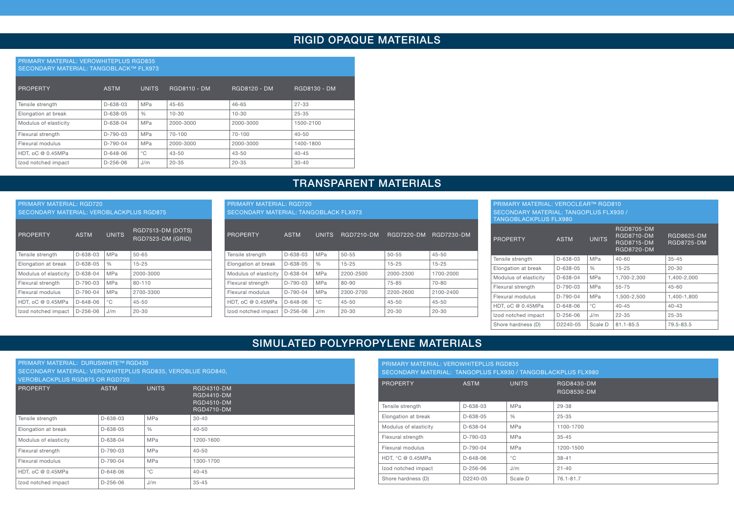### RIGID OPAQUE MATERIALS

#### PRIMARY MATERIAL: VEROWHITEPLUS RGD835 SECONDARY MATERIAL: TANGOBLACK™ FLX973

| PROPERTY              | <b>ASTM</b>    | <b>UNITS</b>  | <b>RGD8110 - DM</b> | RGD8120 - DM | RGD8130 - DM |
|-----------------------|----------------|---------------|---------------------|--------------|--------------|
| Tensile strength      | $D - 638 - 03$ | MPa           | $45 - 65$           | $46 - 65$    | $27 - 33$    |
| Elongation at break   | $D-638-05$     | $\frac{0}{0}$ | $10 - 30$           | $10 - 30$    | $25 - 35$    |
| Modulus of elasticity | $D - 638 - 04$ | MPa           | 2000-3000           | 2000-3000    | 1500-2100    |
| Flexural strength     | $D-790-03$     | MPa           | 70-100              | 70-100       | $40 - 50$    |
| Flexural modulus      | $D-790-04$     | MPa           | 2000-3000           | 2000-3000    | 1400-1800    |
| HDT, oC @ 0.45MPa     | $D - 648 - 06$ | $^{\circ}$ C  | $43 - 50$           | $43 - 50$    | $40 - 45$    |
| Izod notched impact   | $D-256-06$     | J/m           | $20 - 35$           | $20 - 35$    | $30 - 40$    |

### TRANSPARENT MATERIALS

| <b>PRIMARY MATERIAL: RGD720</b><br><b>SECONDARY MATERIAL: VEROBLACKPLUS RGD875</b>              |                |               |           |  |  |  |
|-------------------------------------------------------------------------------------------------|----------------|---------------|-----------|--|--|--|
| RGD7513-DM (DOTS)<br><b>UNITS</b><br><b>ASTM</b><br><b>PROPERTY</b><br><b>RGD7523-DM (GRID)</b> |                |               |           |  |  |  |
| Tensile strength                                                                                | D-638-03       | MPa           | $50 - 65$ |  |  |  |
| Elongation at break                                                                             | $D - 638 - 05$ | $\frac{0}{0}$ | $15 - 25$ |  |  |  |
| Modulus of elasticity                                                                           | $D - 638 - 04$ | MPa           | 2000-3000 |  |  |  |
| Flexural strength                                                                               | $D-790-03$     | MPa           | 80-110    |  |  |  |
| Flexural modulus                                                                                | $D-790-04$     | <b>MPa</b>    | 2700-3300 |  |  |  |
| HDT, oC @ 0.45MPa                                                                               | $D - 648 - 06$ | °C            | $45 - 50$ |  |  |  |
| Izod notched impact                                                                             | $D-256-06$     | J/m           | $20 - 30$ |  |  |  |

| <b>PRIMARY MATERIAL: RGD720</b><br><b>SECONDARY MATERIAL: TANGOBLACK FLX973</b> |                |               |                   |                   |            |  |
|---------------------------------------------------------------------------------|----------------|---------------|-------------------|-------------------|------------|--|
| <b>PROPERTY</b>                                                                 | <b>ASTM</b>    | <b>UNITS</b>  | <b>RGD7210-DM</b> | <b>RGD7220-DM</b> | RGD7230-DM |  |
| Tensile strength                                                                | $D - 638 - 03$ | <b>MPa</b>    | $50 - 55$         | $50 - 55$         | $45 - 50$  |  |
| Elongation at break                                                             | D-638-05       | $\frac{0}{0}$ | $15 - 25$         | $15 - 25$         | $15 - 25$  |  |
| Modulus of elasticity                                                           | $D - 638 - 04$ | <b>MPa</b>    | 2200-2500         | 2000-2300         | 1700-2000  |  |
| Flexural strength                                                               | $D-790-03$     | <b>MPa</b>    | 80-90             | 75-85             | $70 - 80$  |  |
| Flexural modulus                                                                | $D-790-04$     | <b>MPa</b>    | 2300-2700         | 2200-2600         | 2100-2400  |  |
| HDT, oC @ 0.45MPa                                                               | $D - 648 - 06$ | °C            | $45 - 50$         | $45 - 50$         | $45 - 50$  |  |
| Izod notched impact                                                             | $D-256-06$     | J/m           | $20 - 30$         | $20 - 30$         | $20 - 30$  |  |

| PRIMARY MATERIAL: VEROCLEAR™ RGD810                                           |                |              |                                                                           |                                        |  |  |
|-------------------------------------------------------------------------------|----------------|--------------|---------------------------------------------------------------------------|----------------------------------------|--|--|
| <b>SECONDARY MATERIAL: TANGOPLUS FLX930 /</b><br><b>TANGOBLACKPLUS FLX980</b> |                |              |                                                                           |                                        |  |  |
| <b>PROPERTY</b>                                                               | <b>ASTM</b>    | <b>UNITS</b> | RGD8705-DM<br><b>RGD8710-DM</b><br><b>RGD8715-DM</b><br><b>RGD8720-DM</b> | <b>RGD8625-DM</b><br><b>RGD8725-DM</b> |  |  |
| Tensile strength                                                              | D-638-03       | <b>MPa</b>   | $40 - 60$                                                                 | $35 - 45$                              |  |  |
| Elongation at break                                                           | D-638-05       | %            | $15 - 25$                                                                 | $20 - 30$                              |  |  |
| Modulus of elasticity                                                         | D-638-04       | <b>MPa</b>   | 1,700-2,300                                                               | 1.400-2.000                            |  |  |
| Flexural strength                                                             | $D-790-03$     | <b>MPa</b>   | 55-75                                                                     | $45 - 60$                              |  |  |
| Flexural modulus                                                              | $D-790-04$     | <b>MPa</b>   | 1,500-2,500                                                               | 1.400-1.800                            |  |  |
| HDT, oC @ 0.45MPa                                                             | $D - 648 - 06$ | $^{\circ}$ C | $40 - 45$                                                                 | $40 - 43$                              |  |  |
| Izod notched impact                                                           | $D-256-06$     | J/m          | $22 - 35$                                                                 | $25 - 35$                              |  |  |
| Shore hardness (D)                                                            | D2240-05       | Scale D      | $81.1 - 85.5$                                                             | 79.5-83.5                              |  |  |

### SIMULATED POLYPROPYLENE MATERIALS

| PRIMARY MATERIAL: DURUSWHITE™ RGD430<br>SECONDARY MATERIAL: VEROWHITEPLUS RGD835, VEROBLUE RGD840.<br><b>VEROBLACKPLUS RGD875 OR RGD720</b> |                |               |                                                                           |  |  |
|---------------------------------------------------------------------------------------------------------------------------------------------|----------------|---------------|---------------------------------------------------------------------------|--|--|
| <b>PROPERTY</b>                                                                                                                             | <b>ASTM</b>    | <b>UNITS</b>  | RGD4310-DM<br><b>RGD4410-DM</b><br><b>RGD4510-DM</b><br><b>RGD4710-DM</b> |  |  |
| Tensile strength                                                                                                                            | $D-638-03$     | MPa           | $30 - 40$                                                                 |  |  |
| Elongation at break                                                                                                                         | D-638-05       | $\frac{0}{0}$ | $40 - 50$                                                                 |  |  |
| Modulus of elasticity                                                                                                                       | $D - 638 - 04$ | MPa           | 1200-1600                                                                 |  |  |
| Flexural strength                                                                                                                           | $D-790-03$     | MPa           | $40 - 50$                                                                 |  |  |
| Flexural modulus                                                                                                                            | $D-790-04$     | MPa           | 1300-1700                                                                 |  |  |
| HDT, oC @ 0.45MPa                                                                                                                           | $D - 648 - 06$ | $^{\circ}$ C  | $40 - 45$                                                                 |  |  |
| Izod notched impact                                                                                                                         | $D-256-06$     | J/m           | $35 - 45$                                                                 |  |  |

| <b>PRIMARY MATERIAL: VEROWHITEPLUS RGD835</b><br>SECONDARY MATERIAL: TANGOPLUS FLX930 / TANGOBLACKPLUS FLX980 |                |               |                          |  |  |
|---------------------------------------------------------------------------------------------------------------|----------------|---------------|--------------------------|--|--|
| <b>PROPERTY</b>                                                                                               | <b>ASTM</b>    | <b>UNITS</b>  | RGD8430-DM<br>RGD8530-DM |  |  |
| Tensile strength                                                                                              | D-638-03       | <b>MPa</b>    | 29-38                    |  |  |
| Elongation at break                                                                                           | D-638-05       | $\frac{0}{0}$ | $25 - 35$                |  |  |
| Modulus of elasticity                                                                                         | $D-638-04$     | <b>MPa</b>    | 1100-1700                |  |  |
| Flexural strength                                                                                             | $D-790-03$     | MPa           | $35 - 45$                |  |  |
| Flexural modulus                                                                                              | $D-790-04$     | <b>MPa</b>    | 1200-1500                |  |  |
| HDT. °C @ 0.45MPa                                                                                             | $D - 648 - 06$ | $^{\circ}$ C  | $38 - 41$                |  |  |
| Izod notched impact                                                                                           | $D-256-06$     | J/m           | $21 - 40$                |  |  |
| Shore hardness (D)                                                                                            | D2240-05       | Scale D       | 76.1-81.7                |  |  |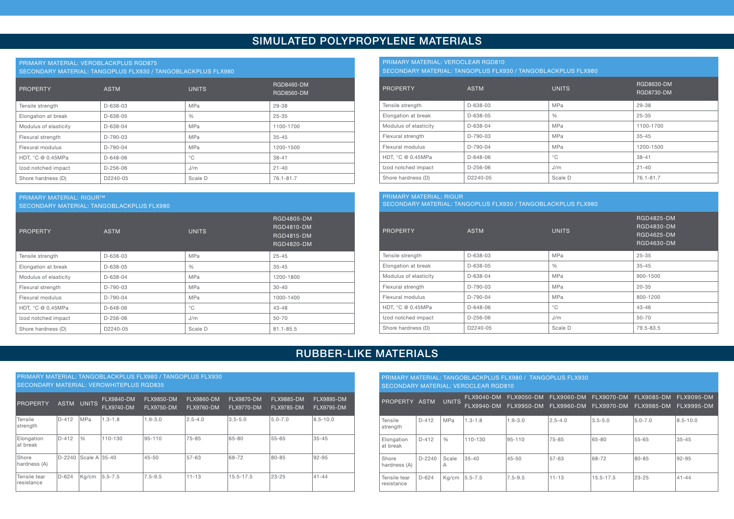### SIMULATED POLYPROPYLENE MATERIALS

### PRIMARY MATERIAL: VEROBLACKPLUS RGD875

SECONDARY MATERIAL: TANGOPLUS FLX930 / TANGOBLACKPLUS FLX980

| <b>PROPERTY</b>       | <b>ASTM</b>    | <b>UNITS</b>  | RGD8460-DM<br>RGD8560-DM |
|-----------------------|----------------|---------------|--------------------------|
| Tensile strength      | $D - 638 - 03$ | <b>MPa</b>    | 29-38                    |
| Elongation at break   | D-638-05       | $\frac{0}{0}$ | $25 - 35$                |
| Modulus of elasticity | D-638-04       | <b>MPa</b>    | 1100-1700                |
| Flexural strength     | $D-790-03$     | <b>MPa</b>    | $35 - 45$                |
| Flexural modulus      | $D-790-04$     | MPa           | 1200-1500                |
| HDT, °C @ 0.45MPa     | $D - 648 - 06$ | $^{\circ}$ C  | $38 - 41$                |
| Izod notched impact   | $D-256-06$     | J/m           | $21 - 40$                |
| Shore hardness (D)    | D2240-05       | Scale D       | 76.1-81.7                |

#### PRIMARY MATERIAL: RIGUR™

SECONDARY MATERIAL: TANGOBLACKPLUS FLX980

| <b>PROPERTY</b>       | <b>ASTM</b>    | <b>UNITS</b>  | RGD4805-DM<br>RGD4810-DM<br><b>RGD4815-DM</b><br><b>RGD4820-DM</b> |
|-----------------------|----------------|---------------|--------------------------------------------------------------------|
| Tensile strength      | D-638-03       | MPa           | $25 - 45$                                                          |
| Elongation at break   | $D - 638 - 05$ | $\frac{0}{0}$ | $35 - 45$                                                          |
| Modulus of elasticity | D-638-04       | <b>MPa</b>    | 1200-1800                                                          |
| Flexural strength     | $D-790-03$     | <b>MPa</b>    | $30 - 40$                                                          |
| Flexural modulus      | D-790-04       | <b>MPa</b>    | 1000-1400                                                          |
| HDT, °C @ 0.45MPa     | $D - 648 - 06$ | $^{\circ}$ C  | $43 - 48$                                                          |
| Izod notched impact   | $D-256-06$     | J/m           | $50 - 70$                                                          |
| Shore hardness (D)    | D2240-05       | Scale D       | $81.1 - 85.5$                                                      |

### PRIMARY MATERIAL: VEROCLEAR RGD810

SECONDARY MATERIAL: TANGOPLUS FLX930 / TANGOBLACKPLUS FLX980

| <b>PROPERTY</b>       | <b>ASTM</b>    | <b>UNITS</b>  | RGD8630-DM<br><b>RGD8730-DM</b> |
|-----------------------|----------------|---------------|---------------------------------|
| Tensile strength      | D-638-03       | <b>MPa</b>    | 29-38                           |
| Elongation at break   | D-638-05       | $\frac{0}{0}$ | $25 - 35$                       |
| Modulus of elasticity | D-638-04       | <b>MPa</b>    | 1100-1700                       |
| Flexural strength     | D-790-03       | <b>MPa</b>    | $35 - 45$                       |
| Flexural modulus      | D-790-04       | MPa           | 1200-1500                       |
| HDT. °C @ 0.45MPa     | $D - 648 - 06$ | $^{\circ}$ C  | $38 - 41$                       |
| Izod notched impact   | $D-256-06$     | J/m           | $21 - 40$                       |
| Shore hardness (D)    | D2240-05       | Scale D       | 76.1-81.7                       |

### PRIMARY MATERIAL: RIGUR SECONDARY MATERIAL: TANGOPLUS FLX930 / TANGOBLACKPLUS FLX980

| PROPERTY              | <b>ASTM</b>          | <b>UNITS</b>  | <b>RGD4825-DM</b><br>RGD4830-DM<br>RGD4625-DM<br>RGD4630-DM |
|-----------------------|----------------------|---------------|-------------------------------------------------------------|
| Tensile strength      | D-638-03             | <b>MPa</b>    | $25 - 35$                                                   |
| Elongation at break   | D-638-05             | $\frac{0}{0}$ | $35 - 45$                                                   |
| Modulus of elasticity | D-638-04             | <b>MPa</b>    | 900-1500                                                    |
| Flexural strength     | D-790-03             | <b>MPa</b>    | $20 - 35$                                                   |
| Flexural modulus      | D-790-04             | <b>MPa</b>    | 800-1200                                                    |
| HDT, °C @ 0.45MPa     | D-648-06             | $^{\circ}$ C  | $43 - 46$                                                   |
| Izod notched impact   | $D-256-06$           | J/m           | $50 - 70$                                                   |
| Shore hardness (D)    | D <sub>2240-05</sub> | Scale D       | 79.5-83.5                                                   |

### RUBBER-LIKE MATERIALS

| PRIMARY MATERIAL: TANGOBLACKPLUS FLX980 / TANGOPLUS FLX930<br><b>SECONDARY MATERIAL: VEROWHITEPLUS RGD835</b> |             |               |                                        |                                        |                                        |                                        |                                        |                                 |  |  |
|---------------------------------------------------------------------------------------------------------------|-------------|---------------|----------------------------------------|----------------------------------------|----------------------------------------|----------------------------------------|----------------------------------------|---------------------------------|--|--|
| <b>PROPERTY</b>                                                                                               | <b>ASTM</b> | <b>UNITS</b>  | <b>FLX9840-DM</b><br><b>FLX9740-DM</b> | <b>FLX9850-DM</b><br><b>FLX9750-DM</b> | <b>FLX9860-DM</b><br><b>FLX9760-DM</b> | <b>FLX9870-DM</b><br><b>FLX9770-DM</b> | <b>FLX9885-DM</b><br><b>FLX9785-DM</b> | <b>FLX9895-DM</b><br>FLX9795-DM |  |  |
| Tensile<br>strength                                                                                           | D-412       | MPa           | $1.3 - 1.8$                            | $1.9 - 3.0$                            | $2.5 - 4.0$                            | $3.5 - 5.0$                            | $5.0 - 7.0$                            | $8.5 - 10.0$                    |  |  |
| Elongation<br>at break                                                                                        | D-412       | $\frac{0}{0}$ | 110-130                                | 95-110                                 | $75 - 85$                              | 65-80                                  | 55-65                                  | $35 - 45$                       |  |  |
| Shore<br>hardness (A)                                                                                         | D-2240      | Scale A 35-40 |                                        | $45 - 50$                              | 57-63                                  | 68-72                                  | 80-85                                  | 92-95                           |  |  |
| Tensile tear<br>resistance                                                                                    | D-624       | Kg/cm         | 5.5-7.5                                | $7.5 - 9.5$                            | $11 - 13$                              | 15.5-17.5                              | $23 - 25$                              | $41 - 44$                       |  |  |

PRIMARY MATERIAL: TANGOBLACKPLUS FLX980 / TANGOPLUS FLX930 SECONDARY MATERIAL: VEROCLEAR RGD810

| PROPERTY ASTM              |          | <b>UNITS</b>  | FLX9040-DM<br>FLX9940-DM |             | FLX9050-DM FLX9060-DM | FLX9070-DM FLX9085-DM<br>FLX9950-DM FLX9960-DM FLX9970-DM FLX9985-DM |             | FLX9095-DM<br><b>FLX9995-DM</b> |
|----------------------------|----------|---------------|--------------------------|-------------|-----------------------|----------------------------------------------------------------------|-------------|---------------------------------|
| Tensile<br>strength        | $D-412$  | MPa           | $1.3 - 1.8$              | $1.9 - 3.0$ | $2.5 - 4.0$           | $3.5 - 5.0$                                                          | $5.0 - 7.0$ | $8.5 - 10.0$                    |
| Elongation<br>at break     | $D-412$  | $\frac{0}{0}$ | 110-130                  | 95-110      | 75-85                 | 65-80                                                                | 55-65       | $35 - 45$                       |
| Shore<br>hardness (A)      | $D-2240$ | Scale<br>Α    | 35-40                    | $45 - 50$   | 57-63                 | 68-72                                                                | 80-85       | 92-95                           |
| Tensile tear<br>resistance | $D-624$  | Ka/cm         | $15.5 - 7.5$             | $7.5 - 9.5$ | $11 - 13$             | 15.5-17.5                                                            | 23-25       | $41 - 44$                       |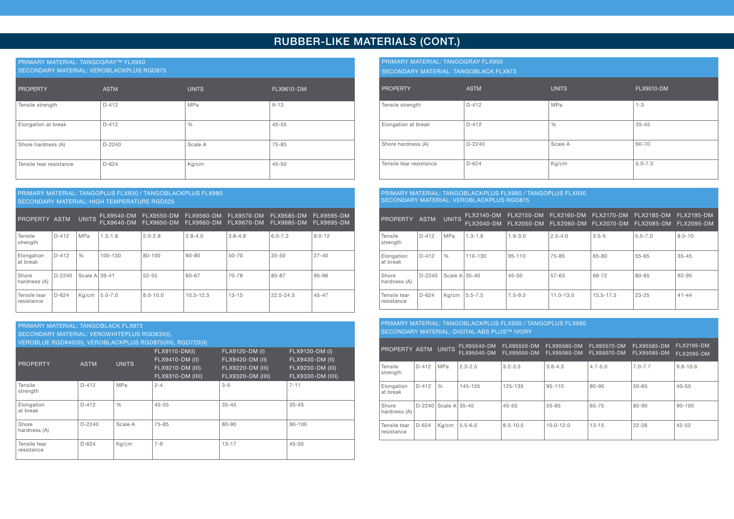### RUBBER-LIKE MATERIALS (CONT.)

### PRIMARY MATERIAL: TANGOGRAY™ FLX950

SECONDARY MATERIAL: VEROBLACKPLUS RGD875

| PROPERTY                | <b>ASTM</b> | <b>UNITS</b>  | FLX9610-DM |
|-------------------------|-------------|---------------|------------|
| Tensile strength        | $D-412$     | MPa           | $9 - 13$   |
| Elongation at break     | $D-412$     | $\frac{0}{0}$ | $45 - 55$  |
| Shore hardness (A)      | $D-2240$    | Scale A       | 75-85      |
| Tensile tear resistance | $D-624$     | Kg/cm         | $45 - 50$  |

### PRIMARY MATERIAL: TANGOPLUS FLX930 / TANGOBLACKPLUS FLX980 SECONDARY MATERIAL: HIGH TEMPERATURE RGD525

| PROPERTY ASTM              |          | <b>UNITS</b>  | FLX9540-DM<br>FLX9640-DM | FLX9550-DM<br><b>FLX9650-DM</b> | <b>FLX9560-DM</b><br>FLX9660-DM | <b>FLX9570-DM</b><br><b>FLX9670-DM</b> | <b>FLX9585-DM</b><br><b>FLX9685-DM</b> | <b>FLX9595-DM</b><br><b>FLX9695-DM</b> |
|----------------------------|----------|---------------|--------------------------|---------------------------------|---------------------------------|----------------------------------------|----------------------------------------|----------------------------------------|
| Tensile<br>strength        | D-412    | <b>MPa</b>    | $1.3 - 1.8$              | $2.0 - 2.8$                     | $2.8 - 4.0$                     | $3.8 - 4.9$                            | $6.0 - 7.3$                            | $9.0 - 12$                             |
| Elongation<br>at break     | $D-412$  | $\frac{0}{0}$ | 100-130                  | 80-100                          | 60-80                           | 50-70                                  | $35 - 50$                              | $27 - 40$                              |
| Shore<br>hardness (A)      | $D-2240$ | Scale A 39-41 |                          | $52 - 55$                       | 60-67                           | 70-78                                  | 85-87                                  | 95-96                                  |
| Tensile tear<br>resistance | $D-624$  | Kg/cm         | $5.0 - 7.0$              | $8.0 - 10.0$                    | $10.5 - 12.5$                   | $13 - 15$                              | $22.5 - 24.5$                          | $45 - 47$                              |

### PRIMARY MATERIAL: TANGOBLACK FLX973

SECONDARY MATERIAL: VEROWHITEPLUS RGD835(I),

VEROBLUE RGD840(III), VEROBLACKPLUS RGD875(IIII), RGD720(II)

| PROPERTY                   | <b>ASTM</b> | <b>UNITS</b>  | FLX9110-DM(I)<br>FLX9410-DM (II)<br>FLX9210-DM (III)<br>FLX9310-DM (IIII) | FLX9120-DM (I)<br>FLX9420-DM (II)<br>FLX9220-DM (III)<br>FLX9320-DM (IIII) | FLX9130-DM (I)<br><b>FLX9430-DM (II)</b><br>FLX9230-DM (III)<br>FLX9330-DM (IIII) |
|----------------------------|-------------|---------------|---------------------------------------------------------------------------|----------------------------------------------------------------------------|-----------------------------------------------------------------------------------|
| Tensile<br>strength        | $D-412$     | <b>MPa</b>    | $2 - 4$ .                                                                 | $3 - 5$                                                                    | $7 - 11$                                                                          |
| Elongation<br>at break     | $D-412$     | $\frac{0}{0}$ | $45 - 55$                                                                 | $35 - 45$                                                                  | $35 - 45$                                                                         |
| Shore<br>hardness (A)      | $D-2240$    | Scale A       | $75 - 85$                                                                 | 80-90                                                                      | $90 - 100$                                                                        |
| Tensile tear<br>resistance | $D-624$     | Kg/cm         | $7 - 9$                                                                   | $13 - 17$                                                                  | $45 - 50$                                                                         |

### PRIMARY MATERIAL: TANGOGRAY FLX950

SECONDARY MATERIAL: TANGOBLACK FLX973

| <b>PROPERTY</b>         | <b>ASTM</b> | <b>UNITS</b>  | <b>FLX9510-DM</b> |
|-------------------------|-------------|---------------|-------------------|
| Tensile strength        | $D-412$     | <b>MPa</b>    | $1 - 3$           |
| Elongation at break     | $D-412$     | $\frac{0}{0}$ | $35 - 45$         |
| Shore hardness (A)      | D-2240      | Scale A       | 60-70             |
| Tensile tear resistance | $D-624$     | Kg/cm         | $5.0 - 7.0$       |

### PRIMARY MATERIAL: TANGOBLACKPLUS FLX980 / TANGOPLUS FLX930 SECONDARY MATERIAL: VEROBLACKPLUS RGD875

| PROPERTY                   | <b>ASTM</b> | <b>UNITS</b>    | <b>FLX2140-DM</b><br><b>FLX2040-DM</b> | FLX2150-DM<br>FLX2050-DM | <b>FLX2160-DM</b><br>FLX2060-DM | <b>FLX2170-DM</b><br><b>FLX2070-DM</b> | <b>FLX2185-DM</b><br><b>FLX2085-DM</b> | <b>FLX2195-DM</b><br>FLX2095-DM |
|----------------------------|-------------|-----------------|----------------------------------------|--------------------------|---------------------------------|----------------------------------------|----------------------------------------|---------------------------------|
| Tensile<br>strength        | $D-412$     | MPa             | $1.3 - 1.8$                            | $1.9 - 3.0$              | $2.5 - 4.0$                     | $3.5 - 5$                              | $5.5 - 7.0$                            | $8.5 - 10$                      |
| Elongation<br>at break     | $D-412$     | $\frac{0}{0}$   | 110-130                                | $95 - 110$               | $75 - 85$                       | 65-80                                  | $55 - 65$                              | $35 - 45$                       |
| Shore<br>hardness (A)      | $D-2240$    | Scale $A$ 35-40 |                                        | $45 - 50$                | 57-63                           | 68-72                                  | 80-85                                  | $92 - 95$                       |
| Tensile tear<br>resistance | $D-624$     | Ka/cm           | 5.5-7.5                                | $7.5 - 9.5$              | $11.0 - 13.0$                   | 15.5-17.5                              | $23 - 25$                              | $41 - 44$                       |

### PRIMARY MATERIAL: TANGOBLACKPLUS FLX930 / TANGOPLUS FLX980 SECONDARY MATERIAL: DIGITAL ABS PLUS™ IVORY

| <b>PROPERTY ASTM</b>       |          | <b>UNITS</b>         | FLX95540-DM<br>FLX95040-DM | FLX95550-DM<br>FLX95050-DM | FLX95560-DM<br>FLX95060-DM | FLX95570-DM<br>FLX95070-DM | FLX95585-DM<br>FLX95085-DM | FLX2195-DM<br>FLX2095-DM |
|----------------------------|----------|----------------------|----------------------------|----------------------------|----------------------------|----------------------------|----------------------------|--------------------------|
| Tensile<br>strength        | $D-412$  | MPa                  | $12.3 - 2.5$               | $3.2 - 3.5$                | $3.8 - 4.3$                | $4.7 - 5.0$                | $7.0 - 7.7$                | $9.8 - 10.6$             |
| Elongation<br>at break     | $D-412$  | $\frac{0}{0}$        | 145-155                    | 125-135                    | $95 - 110$                 | 80-90                      | $50 - 65$                  | $40 - 50$                |
| Shore<br>hardness (A)      | $D-2240$ | Scale A $\mid$ 35-45 |                            | $45 - 55$                  | 55-65                      | 65-75                      | 80-90                      | $90 - 100$               |
| Tensile tear<br>resistance | $D-624$  | Ka/cm                | $5.5 - 6.5$                | 8.5-10.5                   | $10.0 - 12.0$              | $13 - 15$                  | $22 - 26$                  | $42 - 52$                |